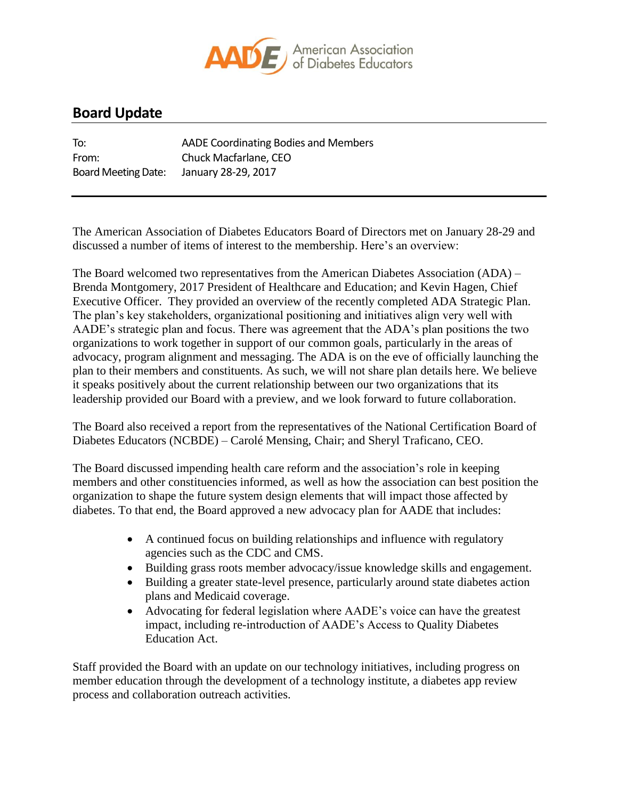

## **Board Update**

| To:                        | AADE Coordinating Bodies and Members |
|----------------------------|--------------------------------------|
| From:                      | Chuck Macfarlane, CEO                |
| <b>Board Meeting Date:</b> | January 28-29, 2017                  |

The American Association of Diabetes Educators Board of Directors met on January 28-29 and discussed a number of items of interest to the membership. Here's an overview:

The Board welcomed two representatives from the American Diabetes Association (ADA) – Brenda Montgomery, 2017 President of Healthcare and Education; and Kevin Hagen, Chief Executive Officer. They provided an overview of the recently completed ADA Strategic Plan. The plan's key stakeholders, organizational positioning and initiatives align very well with AADE's strategic plan and focus. There was agreement that the ADA's plan positions the two organizations to work together in support of our common goals, particularly in the areas of advocacy, program alignment and messaging. The ADA is on the eve of officially launching the plan to their members and constituents. As such, we will not share plan details here. We believe it speaks positively about the current relationship between our two organizations that its leadership provided our Board with a preview, and we look forward to future collaboration.

The Board also received a report from the representatives of the National Certification Board of Diabetes Educators (NCBDE) – Carolé Mensing, Chair; and Sheryl Traficano, CEO.

The Board discussed impending health care reform and the association's role in keeping members and other constituencies informed, as well as how the association can best position the organization to shape the future system design elements that will impact those affected by diabetes. To that end, the Board approved a new advocacy plan for AADE that includes:

- A continued focus on building relationships and influence with regulatory agencies such as the CDC and CMS.
- Building grass roots member advocacy/issue knowledge skills and engagement.
- Building a greater state-level presence, particularly around state diabetes action plans and Medicaid coverage.
- Advocating for federal legislation where AADE's voice can have the greatest impact, including re-introduction of AADE's Access to Quality Diabetes Education Act.

Staff provided the Board with an update on our technology initiatives, including progress on member education through the development of a technology institute, a diabetes app review process and collaboration outreach activities.